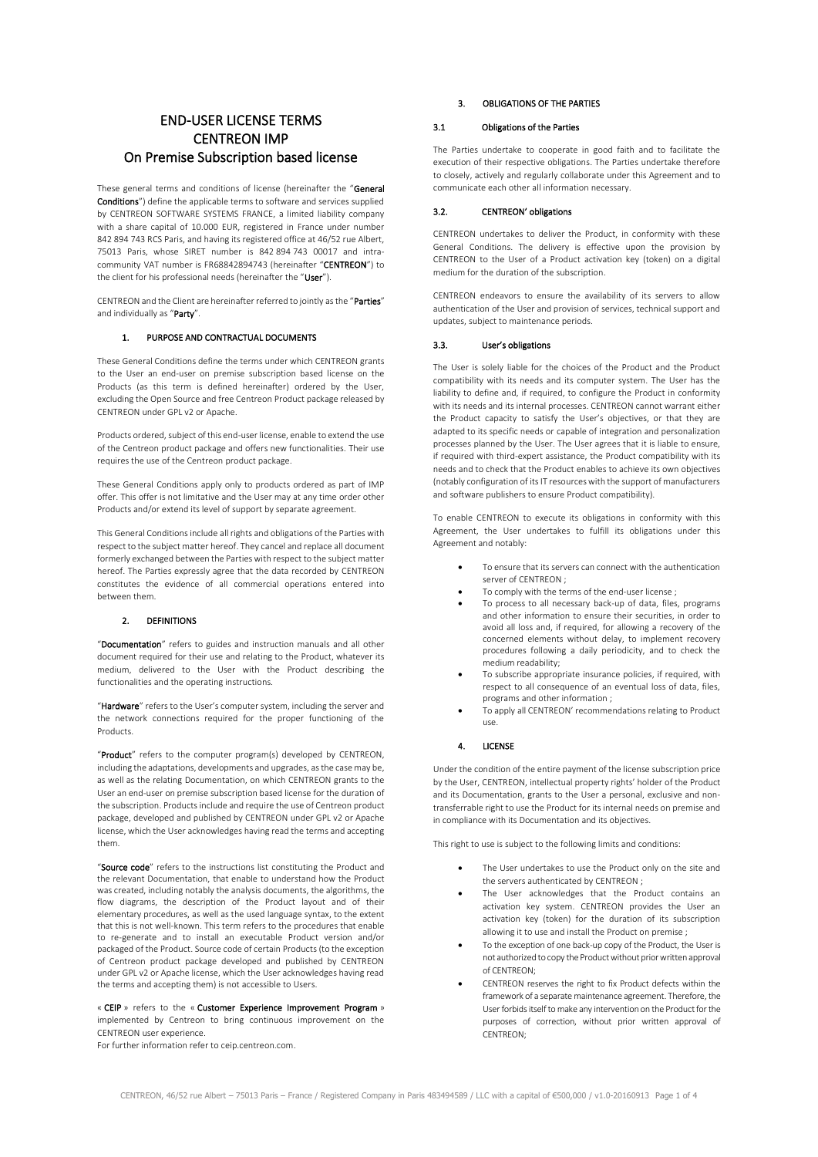# END-USER LICENSE TERMS CENTREON IMP On Premise Subscription based license

These general terms and conditions of license (hereinafter the "General Conditions") define the applicable terms to software and services supplied by CENTREON SOFTWARE SYSTEMS FRANCE, a limited liability company with a share capital of 10.000 EUR, registered in France under number 842 894 743 RCS Paris, and having its registered office at 46/52 rue Albert, 75013 Paris, whose SIRET number is 842 894 743 00017 and intracommunity VAT number is FR68842894743 (hereinafter "CENTREON") to the client for his professional needs (hereinafter the "User").

CENTREON and the Client are hereinafter referred to jointly as the "Parties" and individually as "Party".

## 1. PURPOSE AND CONTRACTUAL DOCUMENTS

These General Conditions define the terms under which CENTREON grants to the User an end-user on premise subscription based license on the Products (as this term is defined hereinafter) ordered by the User, excluding the Open Source and free Centreon Product package released by CENTREON under GPL v2 or Apache.

Products ordered, subject of this end-user license, enable to extend the use of the Centreon product package and offers new functionalities. Their use requires the use of the Centreon product package.

These General Conditions apply only to products ordered as part of IMP offer. This offer is not limitative and the User may at any time order other Products and/or extend its level of support by separate agreement.

This General Conditions include all rights and obligations of the Parties with respect to the subject matter hereof. They cancel and replace all document formerly exchanged between the Parties with respect to the subject matter hereof. The Parties expressly agree that the data recorded by CENTREON constitutes the evidence of all commercial operations entered into between them.

## 2. DEFINITIONS

"Documentation" refers to guides and instruction manuals and all other document required for their use and relating to the Product, whatever its medium, delivered to the User with the Product describing the functionalities and the operating instructions.

"Hardware" refers to the User's computer system, including the server and the network connections required for the proper functioning of the Products.

"Product" refers to the computer program(s) developed by CENTREON, including the adaptations, developments and upgrades, as the case may be, as well as the relating Documentation, on which CENTREON grants to the User an end-user on premise subscription based license for the duration of the subscription. Products include and require the use of Centreon product package, developed and published by CENTREON under GPL v2 or Apache license, which the User acknowledges having read the terms and accepting them.

"Source code" refers to the instructions list constituting the Product and the relevant Documentation, that enable to understand how the Product was created, including notably the analysis documents, the algorithms, the flow diagrams, the description of the Product layout and of their elementary procedures, as well as the used language syntax, to the extent that this is not well-known. This term refers to the procedures that enable to re-generate and to install an executable Product version and/or packaged of the Product. Source code of certain Products (to the exception of Centreon product package developed and published by CENTREON under GPL v2 or Apache license, which the User acknowledges having read the terms and accepting them) is not accessible to Users.

« CEIP » refers to the « Customer Experience Improvement Program » implemented by Centreon to bring continuous improvement on the CENTREON user experience.

For further information refer to ceip.centreon.com.

## 3. OBLIGATIONS OF THE PARTIES

## 3.1 Obligations of the Parties

The Parties undertake to cooperate in good faith and to facilitate the execution of their respective obligations. The Parties undertake therefore to closely, actively and regularly collaborate under this Agreement and to communicate each other all information necessary.

## 3.2. CENTREON' obligations

CENTREON undertakes to deliver the Product, in conformity with these General Conditions. The delivery is effective upon the provision by CENTREON to the User of a Product activation key (token) on a digital medium for the duration of the subscription

CENTREON endeavors to ensure the availability of its servers to allow authentication of the User and provision of services, technical support and updates, subject to maintenance periods.

#### 3.3. User's obligations

The User is solely liable for the choices of the Product and the Product compatibility with its needs and its computer system. The User has the liability to define and, if required, to configure the Product in conformity with its needs and its internal processes. CENTREON cannot warrant either the Product capacity to satisfy the User's objectives, or that they are adapted to its specific needs or capable of integration and personalization processes planned by the User. The User agrees that it is liable to ensure, if required with third-expert assistance, the Product compatibility with its needs and to check that the Product enables to achieve its own objectives (notably configuration of its IT resources with the support of manufacturers and software publishers to ensure Product compatibility).

To enable CENTREON to execute its obligations in conformity with this Agreement, the User undertakes to fulfill its obligations under this Agreement and notably:

- To ensure that its servers can connect with the authentication server of CENTREON ;
- To comply with the terms of the end-user license ;
- To process to all necessary back-up of data, files, programs and other information to ensure their securities, in order to avoid all loss and, if required, for allowing a recovery of the concerned elements without delay, to implement recovery procedures following a daily periodicity, and to check the medium readability;
- To subscribe appropriate insurance policies, if required, with respect to all consequence of an eventual loss of data, files, programs and other information ;
- To apply all CENTREON' recommendations relating to Product use.

## 4. LICENSE

Under the condition of the entire payment of the license subscription price by the User, CENTREON, intellectual property rights' holder of the Product and its Documentation, grants to the User a personal, exclusive and nontransferrable right to use the Product for its internal needs on premise and in compliance with its Documentation and its objectives.

This right to use is subject to the following limits and conditions:

- The User undertakes to use the Product only on the site and the servers authenticated by CENTREON ;
- The User acknowledges that the Product contains an activation key system. CENTREON provides the User an activation key (token) for the duration of its subscription allowing it to use and install the Product on premise ;
- To the exception of one back-up copy of the Product, the User is not authorized to copy the Productwithout prior written approval of CENTREON;
- CENTREON reserves the right to fix Product defects within the framework of a separate maintenance agreement. Therefore, the User forbids itself to make any intervention on the Product for the purposes of correction, without prior written approval of CENTREON;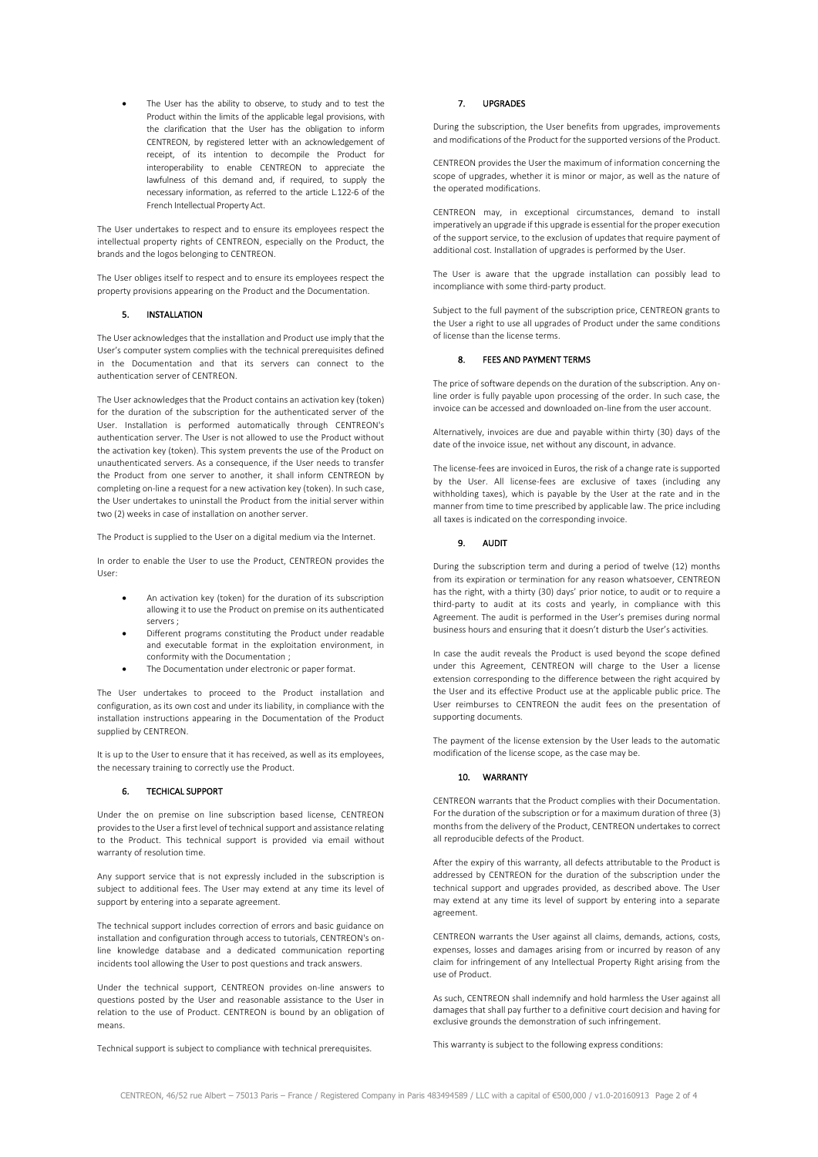The User has the ability to observe, to study and to test the Product within the limits of the applicable legal provisions, with the clarification that the User has the obligation to inform CENTREON, by registered letter with an acknowledgement of receipt, of its intention to decompile the Product for interoperability to enable CENTREON to appreciate the lawfulness of this demand and, if required, to supply the necessary information, as referred to the article L.122-6 of the French Intellectual Property Act.

The User undertakes to respect and to ensure its employees respect the intellectual property rights of CENTREON, especially on the Product, the brands and the logos belonging to CENTREON.

The User obliges itself to respect and to ensure its employees respect the property provisions appearing on the Product and the Documentation.

## 5. INSTALLATION

The User acknowledges that the installation and Product use imply that the User's computer system complies with the technical prerequisites defined in the Documentation and that its servers can connect to the authentication server of CENTREON.

The User acknowledges that the Product contains an activation key (token) for the duration of the subscription for the authenticated server of the User. Installation is performed automatically through CENTREON's authentication server. The User is not allowed to use the Product without the activation key (token). This system prevents the use of the Product on unauthenticated servers. As a consequence, if the User needs to transfer the Product from one server to another, it shall inform CENTREON by completing on-line a request for a new activation key (token). In such case, the User undertakes to uninstall the Product from the initial server within two (2) weeks in case of installation on another server.

The Product is supplied to the User on a digital medium via the Internet.

In order to enable the User to use the Product, CENTREON provides the User:

- An activation key (token) for the duration of its subscription allowing it to use the Product on premise on its authenticated servers ;
- Different programs constituting the Product under readable and executable format in the exploitation environment, in conformity with the Documentation ;
- The Documentation under electronic or paper format.

The User undertakes to proceed to the Product installation and configuration, as its own cost and under its liability, in compliance with the installation instructions appearing in the Documentation of the Product supplied by CENTREON.

It is up to the User to ensure that it has received, as well as its employees, the necessary training to correctly use the Product.

#### 6. TECHICAL SUPPORT

Under the on premise on line subscription based license, CENTREON provides to the User a first level of technical support and assistance relating to the Product. This technical support is provided via email without warranty of resolution time.

Any support service that is not expressly included in the subscription is subject to additional fees. The User may extend at any time its level of support by entering into a separate agreement.

The technical support includes correction of errors and basic guidance on installation and configuration through access to tutorials, CENTREON's online knowledge database and a dedicated communication reporting incidents tool allowing the User to post questions and track answers.

Under the technical support, CENTREON provides on-line answers to questions posted by the User and reasonable assistance to the User in relation to the use of Product. CENTREON is bound by an obligation of means.

Technical support is subject to compliance with technical prerequisites.

#### 7. UPGRADES

During the subscription, the User benefits from upgrades, improvements and modifications of the Product for the supported versions of the Product.

CENTREON provides the User the maximum of information concerning the scope of upgrades, whether it is minor or major, as well as the nature of the operated modifications.

CENTREON may, in exceptional circumstances, demand to install imperatively an upgrade if this upgrade is essential for the proper execution of the support service, to the exclusion of updates that require payment of additional cost. Installation of upgrades is performed by the User.

The User is aware that the upgrade installation can possibly lead to incompliance with some third-party product.

Subject to the full payment of the subscription price, CENTREON grants to the User a right to use all upgrades of Product under the same conditions of license than the license terms.

#### 8. FEES AND PAYMENT TERMS

The price of software depends on the duration of the subscription. Any online order is fully payable upon processing of the order. In such case, the invoice can be accessed and downloaded on-line from the user account.

Alternatively, invoices are due and payable within thirty (30) days of the date of the invoice issue, net without any discount, in advance.

The license-fees are invoiced in Euros, the risk of a change rate is supported by the User. All license-fees are exclusive of taxes (including any withholding taxes), which is payable by the User at the rate and in the manner from time to time prescribed by applicable law. The price including all taxes is indicated on the corresponding invoice.

#### 9. AUDIT

During the subscription term and during a period of twelve (12) months from its expiration or termination for any reason whatsoever, CENTREON has the right, with a thirty (30) days' prior notice, to audit or to require a third-party to audit at its costs and yearly, in compliance with this Agreement. The audit is performed in the User's premises during normal business hours and ensuring that it doesn't disturb the User's activities.

In case the audit reveals the Product is used beyond the scope defined under this Agreement, CENTREON will charge to the User a license extension corresponding to the difference between the right acquired by the User and its effective Product use at the applicable public price. The User reimburses to CENTREON the audit fees on the presentation of supporting documents.

The payment of the license extension by the User leads to the automatic modification of the license scope, as the case may be.

#### 10. WARRANTY

CENTREON warrants that the Product complies with their Documentation. For the duration of the subscription or for a maximum duration of three (3) months from the delivery of the Product, CENTREON undertakes to correct all reproducible defects of the Product.

After the expiry of this warranty, all defects attributable to the Product is addressed by CENTREON for the duration of the subscription under the technical support and upgrades provided, as described above. The User may extend at any time its level of support by entering into a separate agreement.

CENTREON warrants the User against all claims, demands, actions, costs, expenses, losses and damages arising from or incurred by reason of any claim for infringement of any Intellectual Property Right arising from the use of Product.

As such, CENTREON shall indemnify and hold harmless the User against all damages that shall pay further to a definitive court decision and having for exclusive grounds the demonstration of such infringement.

This warranty is subject to the following express conditions: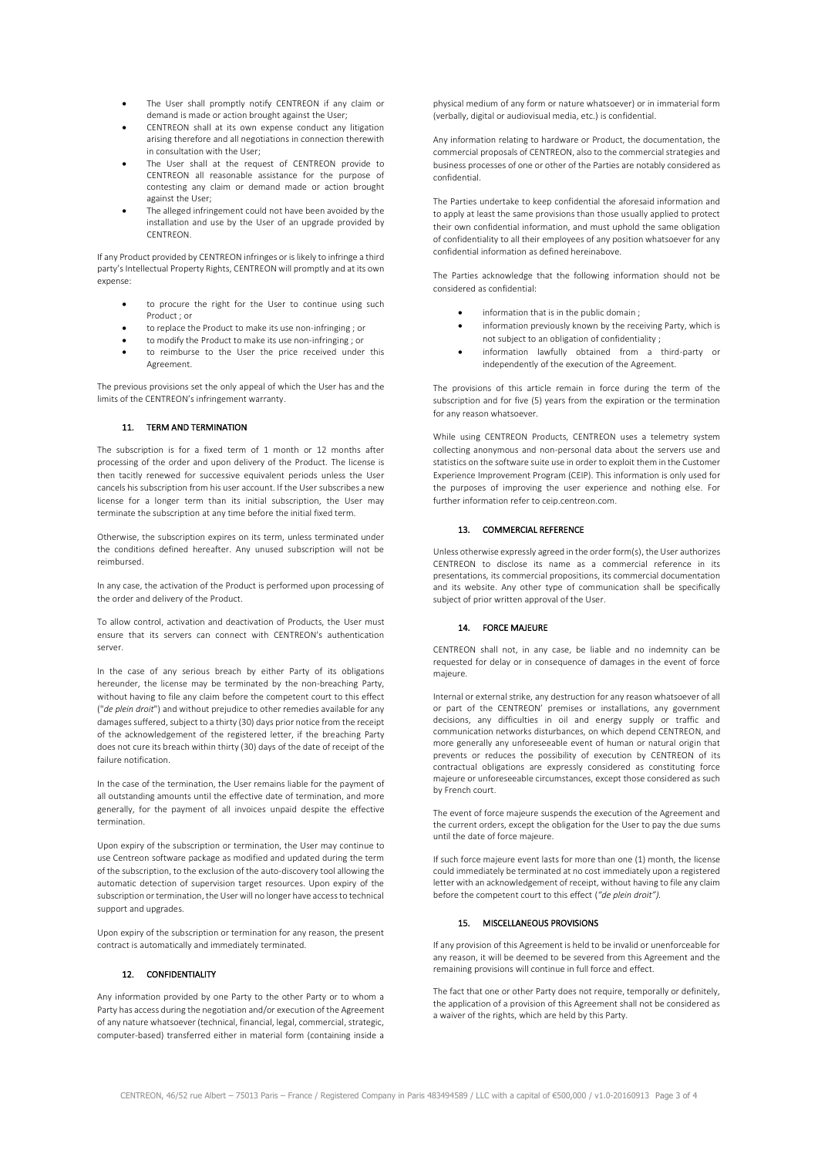- The User shall promptly notify CENTREON if any claim or demand is made or action brought against the User;
- CENTREON shall at its own expense conduct any litigation arising therefore and all negotiations in connection therewith in consultation with the User;
- The User shall at the request of CENTREON provide to CENTREON all reasonable assistance for the purpose of contesting any claim or demand made or action brought against the User;
- The alleged infringement could not have been avoided by the installation and use by the User of an upgrade provided by CENTREON.

If any Product provided by CENTREON infringes or is likely to infringe a third party's Intellectual Property Rights, CENTREON will promptly and at its own expense:

- to procure the right for the User to continue using such Product ; or
- to replace the Product to make its use non-infringing ; or
- to modify the Product to make its use non-infringing ; or
- to reimburse to the User the price received under this Agreement.

The previous provisions set the only appeal of which the User has and the limits of the CENTREON's infringement warranty.

## 11. TERM AND TERMINATION

The subscription is for a fixed term of 1 month or 12 months after processing of the order and upon delivery of the Product. The license is then tacitly renewed for successive equivalent periods unless the User cancels his subscription from his user account. If the User subscribes a new license for a longer term than its initial subscription, the User may terminate the subscription at any time before the initial fixed term.

Otherwise, the subscription expires on its term, unless terminated under the conditions defined hereafter. Any unused subscription will not be reimbursed.

In any case, the activation of the Product is performed upon processing of the order and delivery of the Product.

To allow control, activation and deactivation of Products, the User must ensure that its servers can connect with CENTREON's authentication server.

In the case of any serious breach by either Party of its obligations hereunder, the license may be terminated by the non-breaching Party, without having to file any claim before the competent court to this effect ("*de plein droit*") and without prejudice to other remedies available for any damages suffered, subject to a thirty (30) days prior notice from the receipt of the acknowledgement of the registered letter, if the breaching Party does not cure its breach within thirty (30) days of the date of receipt of the failure notification.

In the case of the termination, the User remains liable for the payment of all outstanding amounts until the effective date of termination, and more generally, for the payment of all invoices unpaid despite the effective termination.

Upon expiry of the subscription or termination, the User may continue to use Centreon software package as modified and updated during the term of the subscription, to the exclusion of the auto-discovery tool allowing the automatic detection of supervision target resources. Upon expiry of the subscription or termination, the User will no longer have access to technical support and upgrades.

Upon expiry of the subscription or termination for any reason, the present contract is automatically and immediately terminated.

## 12. CONFIDENTIALITY

Any information provided by one Party to the other Party or to whom a Party has access during the negotiation and/or execution of the Agreement of any nature whatsoever (technical, financial, legal, commercial, strategic, computer-based) transferred either in material form (containing inside a

physical medium of any form or nature whatsoever) or in immaterial form (verbally, digital or audiovisual media, etc.) is confidential.

Any information relating to hardware or Product, the documentation, the commercial proposals of CENTREON, also to the commercial strategies and business processes of one or other of the Parties are notably considered as confidential.

The Parties undertake to keep confidential the aforesaid information and to apply at least the same provisions than those usually applied to protect their own confidential information, and must uphold the same obligation of confidentiality to all their employees of any position whatsoever for any confidential information as defined hereinabove.

The Parties acknowledge that the following information should not be considered as confidential:

- information that is in the public domain ;
- information previously known by the receiving Party, which is not subject to an obligation of confidentiality ;
- information lawfully obtained from a third-party or independently of the execution of the Agreement.

The provisions of this article remain in force during the term of the subscription and for five (5) years from the expiration or the termination for any reason whatsoever.

While using CENTREON Products, CENTREON uses a telemetry system collecting anonymous and non-personal data about the servers use and statistics on the software suite use in order to exploit them in the Customer Experience Improvement Program (CEIP). This information is only used for the purposes of improving the user experience and nothing else. For further information refer to ceip.centreon.com.

## 13. COMMERCIAL REFERENCE

Unless otherwise expressly agreed in the order form(s), the User authorizes CENTREON to disclose its name as a commercial reference in its presentations, its commercial propositions, its commercial documentation and its website. Any other type of communication shall be specifically subject of prior written approval of the User.

#### 14. FORCE MAJEURE

CENTREON shall not, in any case, be liable and no indemnity can be requested for delay or in consequence of damages in the event of force majeure.

Internal or external strike, any destruction for any reason whatsoever of all or part of the CENTREON' premises or installations, any government decisions, any difficulties in oil and energy supply or traffic and communication networks disturbances, on which depend CENTREON, and more generally any unforeseeable event of human or natural origin that prevents or reduces the possibility of execution by CENTREON of its contractual obligations are expressly considered as constituting force majeure or unforeseeable circumstances, except those considered as such by French court.

The event of force majeure suspends the execution of the Agreement and the current orders, except the obligation for the User to pay the due sums until the date of force majeure.

If such force majeure event lasts for more than one (1) month, the license could immediately be terminated at no cost immediately upon a registered letter with an acknowledgement of receipt, without having to file any claim before the competent court to this effect (*"de plein droit").*

# 15. MISCELLANEOUS PROVISIONS

If any provision of this Agreement is held to be invalid or unenforceable for any reason, it will be deemed to be severed from this Agreement and the remaining provisions will continue in full force and effect.

The fact that one or other Party does not require, temporally or definitely, the application of a provision of this Agreement shall not be considered as a waiver of the rights, which are held by this Party.